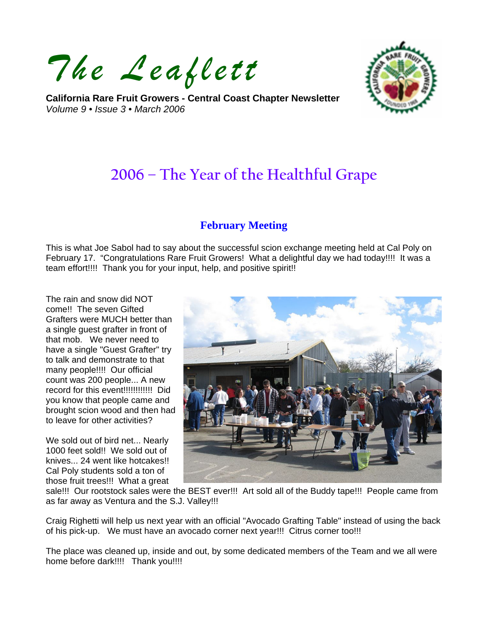*The Leaflett*

**California Rare Fruit Growers - Central Coast Chapter Newsletter**  *Volume 9 • Issue 3 • March 2006* 



# **2006 – The Year of the Healthful Grape**

### **February Meeting**

This is what Joe Sabol had to say about the successful scion exchange meeting held at Cal Poly on February 17. "Congratulations Rare Fruit Growers! What a delightful day we had today!!!! It was a team effort!!!! Thank you for your input, help, and positive spirit!!

The rain and snow did NOT come!! The seven Gifted Grafters were MUCH better than a single guest grafter in front of that mob. We never need to have a single "Guest Grafter" try to talk and demonstrate to that many people!!!! Our official count was 200 people... A new record for this event!!!!!!!!!!!!!! Did you know that people came and brought scion wood and then had to leave for other activities?

We sold out of bird net... Nearly 1000 feet sold!! We sold out of knives... 24 went like hotcakes!! Cal Poly students sold a ton of those fruit trees!!! What a great



sale!!! Our rootstock sales were the BEST ever!!! Art sold all of the Buddy tape!!! People came from as far away as Ventura and the S.J. Valley!!!

Craig Righetti will help us next year with an official "Avocado Grafting Table" instead of using the back of his pick-up. We must have an avocado corner next year!!! Citrus corner too!!!

The place was cleaned up, inside and out, by some dedicated members of the Team and we all were home before dark!!!! Thank you!!!!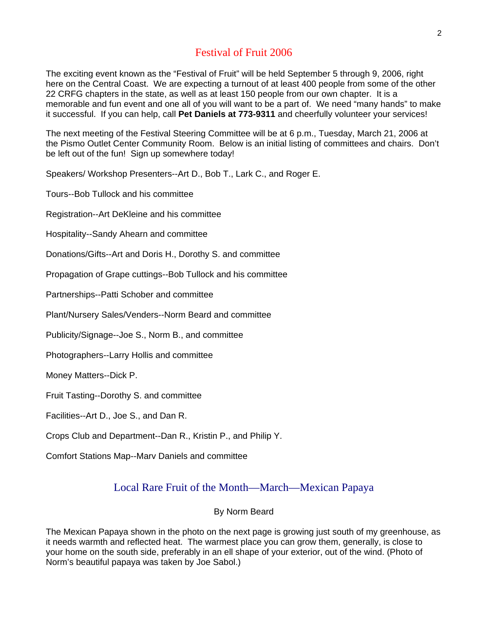# Festival of Fruit 2006

The exciting event known as the "Festival of Fruit" will be held September 5 through 9, 2006, right here on the Central Coast. We are expecting a turnout of at least 400 people from some of the other 22 CRFG chapters in the state, as well as at least 150 people from our own chapter. It is a memorable and fun event and one all of you will want to be a part of. We need "many hands" to make it successful. If you can help, call **Pet Daniels at 773-9311** and cheerfully volunteer your services!

The next meeting of the Festival Steering Committee will be at 6 p.m., Tuesday, March 21, 2006 at the Pismo Outlet Center Community Room. Below is an initial listing of committees and chairs. Don't be left out of the fun! Sign up somewhere today!

Speakers/ Workshop Presenters--Art D., Bob T., Lark C., and Roger E.

Tours--Bob Tullock and his committee

Registration--Art DeKleine and his committee

Hospitality--Sandy Ahearn and committee

Donations/Gifts--Art and Doris H., Dorothy S. and committee

Propagation of Grape cuttings--Bob Tullock and his committee

Partnerships--Patti Schober and committee

Plant/Nursery Sales/Venders--Norm Beard and committee

Publicity/Signage--Joe S., Norm B., and committee

Photographers--Larry Hollis and committee

Money Matters--Dick P.

Fruit Tasting--Dorothy S. and committee

Facilities--Art D., Joe S., and Dan R.

Crops Club and Department--Dan R., Kristin P., and Philip Y.

Comfort Stations Map--Marv Daniels and committee

## Local Rare Fruit of the Month—March—Mexican Papaya

#### By Norm Beard

The Mexican Papaya shown in the photo on the next page is growing just south of my greenhouse, as it needs warmth and reflected heat. The warmest place you can grow them, generally, is close to your home on the south side, preferably in an ell shape of your exterior, out of the wind. (Photo of Norm's beautiful papaya was taken by Joe Sabol.)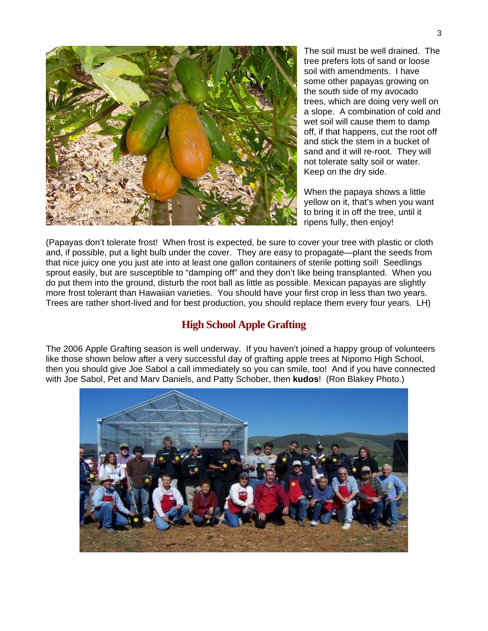

The soil must be well drained. The tree prefers lots of sand or loose soil with amendments. I have some other papayas growing on the south side of my avocado trees, which are doing very well on a slope. A combination of cold and wet soil will cause them to damp off, if that happens, cut the root off and stick the stem in a bucket of sand and it will re-root. They will not tolerate salty soil or water. Keep on the dry side.

When the papaya shows a little yellow on it, that's when you want to bring it in off the tree, until it ripens fully, then enjoy!

(Papayas don't tolerate frost! When frost is expected, be sure to cover your tree with plastic or cloth and, if possible, put a light bulb under the cover. They are easy to propagate—plant the seeds from that nice juicy one you just ate into at least one gallon containers of sterile potting soil! Seedlings sprout easily, but are susceptible to "damping off" and they don't like being transplanted. When you do put them into the ground, disturb the root ball as little as possible. Mexican papayas are slightly more frost tolerant than Hawaiian varieties. You should have your first crop in less than two years. Trees are rather short-lived and for best production, you should replace them every four years. LH)

## **High School Apple Grafting**

The 2006 Apple Grafting season is well underway. If you haven't joined a happy group of volunteers like those shown below after a very successful day of grafting apple trees at Nipomo High School, then you should give Joe Sabol a call immediately so you can smile, too! And if you have connected with Joe Sabol, Pet and Marv Daniels, and Patty Schober, then **kudos**! (Ron Blakey Photo.)

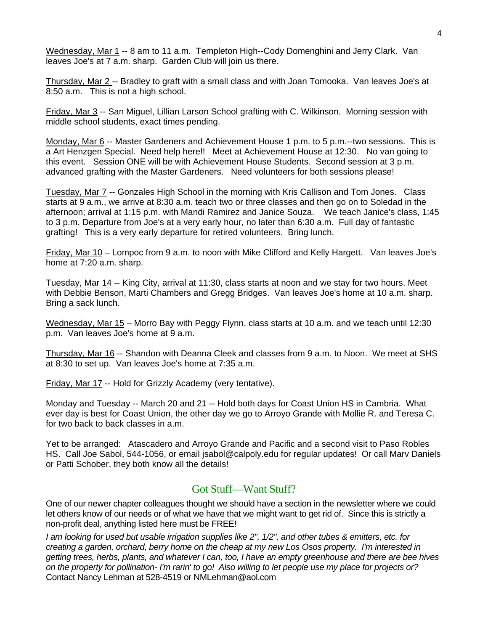Wednesday, Mar 1 -- 8 am to 11 a.m. Templeton High--Cody Domenghini and Jerry Clark. Van leaves Joe's at 7 a.m. sharp. Garden Club will join us there.

Thursday, Mar 2 -- Bradley to graft with a small class and with Joan Tomooka. Van leaves Joe's at 8:50 a.m. This is not a high school.

Friday, Mar 3 -- San Miguel, Lillian Larson School grafting with C. Wilkinson. Morning session with middle school students, exact times pending.

Monday, Mar 6 -- Master Gardeners and Achievement House 1 p.m. to 5 p.m.--two sessions. This is a Art Henzgen Special. Need help here!! Meet at Achievement House at 12:30. No van going to this event. Session ONE will be with Achievement House Students. Second session at 3 p.m. advanced grafting with the Master Gardeners. Need volunteers for both sessions please!

Tuesday, Mar 7 -- Gonzales High School in the morning with Kris Callison and Tom Jones. Class starts at 9 a.m., we arrive at 8:30 a.m. teach two or three classes and then go on to Soledad in the afternoon; arrival at 1:15 p.m. with Mandi Ramirez and Janice Souza. We teach Janice's class, 1:45 to 3 p.m. Departure from Joe's at a very early hour, no later than 6:30 a.m. Full day of fantastic grafting! This is a very early departure for retired volunteers. Bring lunch.

Friday, Mar 10 – Lompoc from 9 a.m. to noon with Mike Clifford and Kelly Hargett. Van leaves Joe's home at 7:20 a.m. sharp.

Tuesday, Mar 14 -- King City, arrival at 11:30, class starts at noon and we stay for two hours. Meet with Debbie Benson, Marti Chambers and Gregg Bridges. Van leaves Joe's home at 10 a.m. sharp. Bring a sack lunch.

Wednesday, Mar 15 – Morro Bay with Peggy Flynn, class starts at 10 a.m. and we teach until 12:30 p.m. Van leaves Joe's home at 9 a.m.

Thursday, Mar 16 -- Shandon with Deanna Cleek and classes from 9 a.m. to Noon. We meet at SHS at 8:30 to set up. Van leaves Joe's home at 7:35 a.m.

Friday, Mar 17 -- Hold for Grizzly Academy (very tentative).

Monday and Tuesday -- March 20 and 21 -- Hold both days for Coast Union HS in Cambria. What ever day is best for Coast Union, the other day we go to Arroyo Grande with Mollie R. and Teresa C. for two back to back classes in a.m.

Yet to be arranged: Atascadero and Arroyo Grande and Pacific and a second visit to Paso Robles HS. Call Joe Sabol, 544-1056, or email jsabol@calpoly.edu for regular updates! Or call Marv Daniels or Patti Schober, they both know all the details!

#### Got Stuff—Want Stuff?

One of our newer chapter colleagues thought we should have a section in the newsletter where we could let others know of our needs or of what we have that we might want to get rid of. Since this is strictly a non-profit deal, anything listed here must be FREE!

*I am looking for used but usable irrigation supplies like 2", 1/2", and other tubes & emitters, etc. for creating a garden, orchard, berry home on the cheap at my new Los Osos property. I'm interested in getting trees, herbs, plants, and whatever I can, too, I have an empty greenhouse and there are bee hives on the property for pollination- I'm rarin' to go! Also willing to let people use my place for projects or?* Contact Nancy Lehman at 528-4519 or NMLehman@aol.com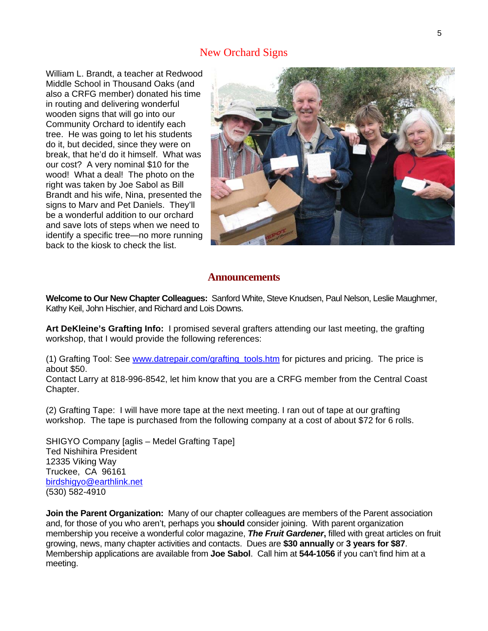## New Orchard Signs

William L. Brandt, a teacher at Redwood Middle School in Thousand Oaks (and also a CRFG member) donated his time in routing and delivering wonderful wooden signs that will go into our Community Orchard to identify each tree. He was going to let his students do it, but decided, since they were on break, that he'd do it himself. What was our cost? A very nominal \$10 for the wood! What a deal! The photo on the right was taken by Joe Sabol as Bill Brandt and his wife, Nina, presented the signs to Marv and Pet Daniels. They'll be a wonderful addition to our orchard and save lots of steps when we need to identify a specific tree—no more running back to the kiosk to check the list.



#### **Announcements**

**Welcome to Our New Chapter Colleagues:** Sanford White, Steve Knudsen, Paul Nelson, Leslie Maughmer, Kathy Keil, John Hischier, and Richard and Lois Downs.

**Art DeKleine's Grafting Info:** I promised several grafters attending our last meeting, the grafting workshop, that I would provide the following references:

(1) Grafting Tool: See [www.datrepair.com/grafting\\_tools.htm](http://www.datrepair.com/grafting_tools.htm) for pictures and pricing. The price is about \$50.

Contact Larry at 818-996-8542, let him know that you are a CRFG member from the Central Coast Chapter.

(2) Grafting Tape: I will have more tape at the next meeting. I ran out of tape at our grafting workshop. The tape is purchased from the following company at a cost of about \$72 for 6 rolls.

SHIGYO Company [aglis – Medel Grafting Tape] Ted Nishihira President 12335 Viking Way Truckee, CA 96161 [birdshigyo@earthlink.net](mailto:birdshigyo@earthlink.net) (530) 582-4910

**Join the Parent Organization:** Many of our chapter colleagues are members of the Parent association and, for those of you who aren't, perhaps you **should** consider joining. With parent organization membership you receive a wonderful color magazine, *The Fruit Gardener***,** filled with great articles on fruit growing, news, many chapter activities and contacts. Dues are **\$30 annually** or **3 years for \$87**. Membership applications are available from **Joe Sabol**. Call him at **544-1056** if you can't find him at a meeting.